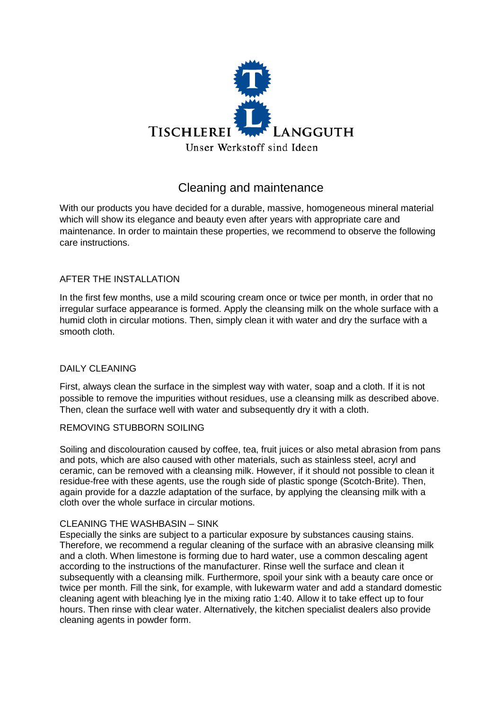

# Cleaning and maintenance

With our products you have decided for a durable, massive, homogeneous mineral material which will show its elegance and beauty even after years with appropriate care and maintenance. In order to maintain these properties, we recommend to observe the following care instructions.

## AFTER THE INSTALLATION

In the first few months, use a mild scouring cream once or twice per month, in order that no irregular surface appearance is formed. Apply the cleansing milk on the whole surface with a humid cloth in circular motions. Then, simply clean it with water and dry the surface with a smooth cloth.

### DAILY CLEANING

First, always clean the surface in the simplest way with water, soap and a cloth. If it is not possible to remove the impurities without residues, use a cleansing milk as described above. Then, clean the surface well with water and subsequently dry it with a cloth.

### REMOVING STUBBORN SOILING

Soiling and discolouration caused by coffee, tea, fruit juices or also metal abrasion from pans and pots, which are also caused with other materials, such as stainless steel, acryl and ceramic, can be removed with a cleansing milk. However, if it should not possible to clean it residue-free with these agents, use the rough side of plastic sponge (Scotch-Brite). Then, again provide for a dazzle adaptation of the surface, by applying the cleansing milk with a cloth over the whole surface in circular motions.

## CLEANING THE WASHBASIN – SINK

Especially the sinks are subject to a particular exposure by substances causing stains. Therefore, we recommend a regular cleaning of the surface with an abrasive cleansing milk and a cloth. When limestone is forming due to hard water, use a common descaling agent according to the instructions of the manufacturer. Rinse well the surface and clean it subsequently with a cleansing milk. Furthermore, spoil your sink with a beauty care once or twice per month. Fill the sink, for example, with lukewarm water and add a standard domestic cleaning agent with bleaching lye in the mixing ratio 1:40. Allow it to take effect up to four hours. Then rinse with clear water. Alternatively, the kitchen specialist dealers also provide cleaning agents in powder form.